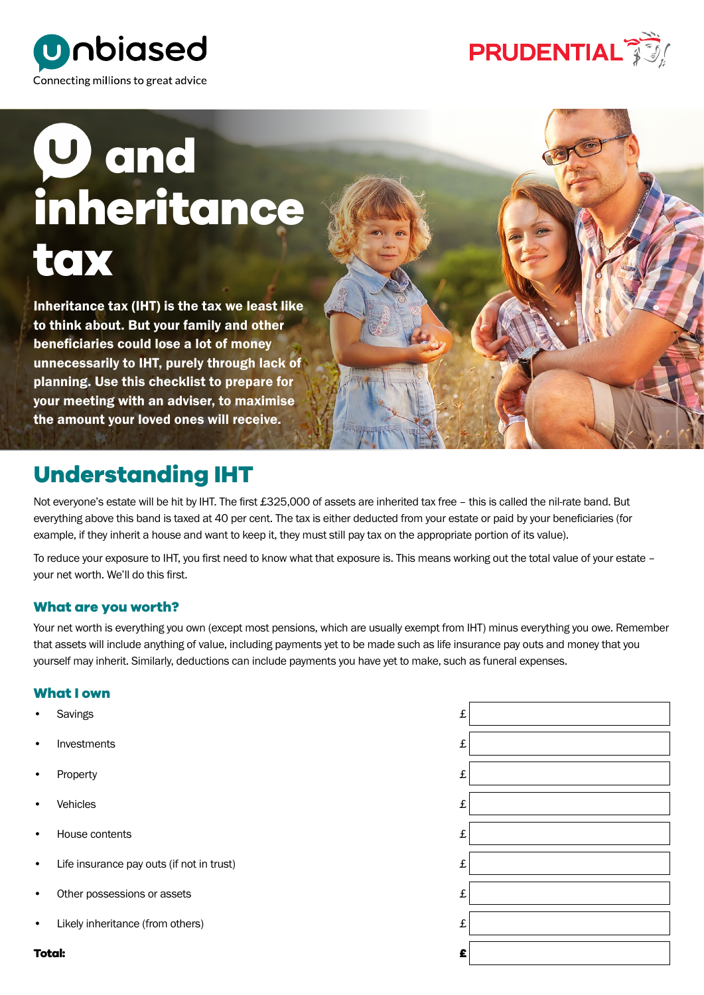



# **U** and **inheritance tax**

Inheritance tax (IHT) is the tax we least like to think about. But your family and other beneficiaries could lose a lot of money unnecessarily to IHT, purely through lack of planning. Use this checklist to prepare for your meeting with an adviser, to maximise the amount your loved ones will receive.

### **Understanding IHT**

Not everyone's estate will be hit by IHT. The first £325,000 of assets are inherited tax free – this is called the nil-rate band. But everything above this band is taxed at 40 per cent. The tax is either deducted from your estate or paid by your beneficiaries (for example, if they inherit a house and want to keep it, they must still pay tax on the appropriate portion of its value).

To reduce your exposure to IHT, you first need to know what that exposure is. This means working out the total value of your estate – your net worth. We'll do this first.

### **What are you worth?**

Your net worth is everything you own (except most pensions, which are usually exempt from IHT) minus everything you owe. Remember that assets will include anything of value, including payments yet to be made such as life insurance pay outs and money that you yourself may inherit. Similarly, deductions can include payments you have yet to make, such as funeral expenses.

### **What I own**

- Savings £
- **Investments**
- Property £
- Vehicles **£**
- House contents £
- Life insurance pay outs (if not in trust)
- Other possessions or assets
- Likely inheritance (from others)

**Total: £**

| £ |  |
|---|--|
| £ |  |
| £ |  |
| £ |  |
| £ |  |
| £ |  |
| £ |  |
| £ |  |
| Ê |  |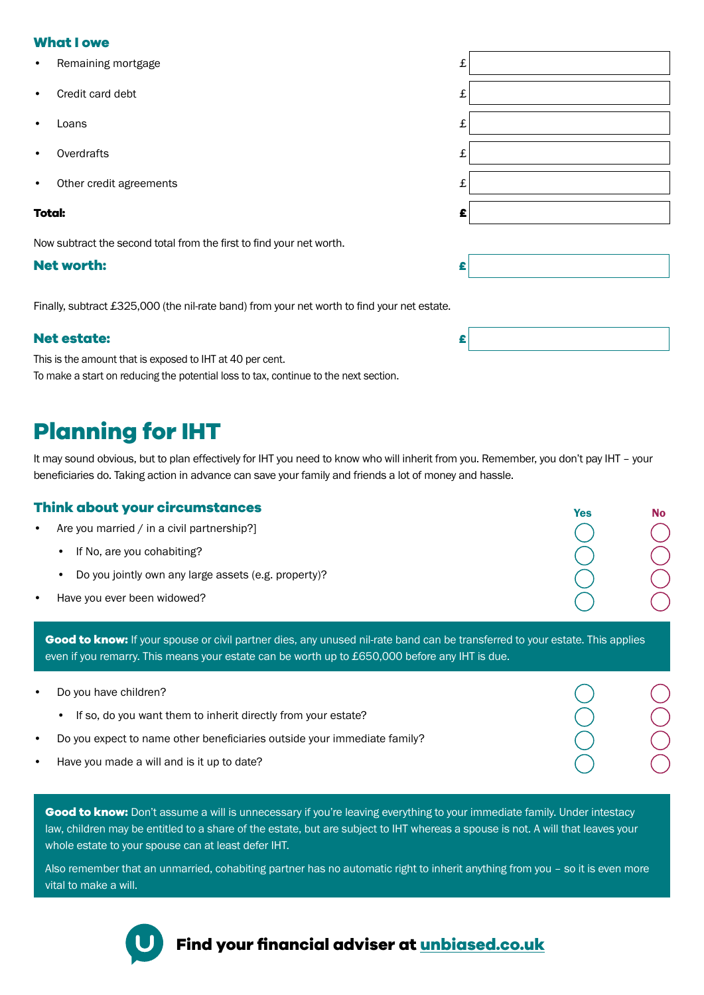### **What I owe**

- Remaining mortgage
- Credit card debt
- Loans £
- Overdrafts £
- Other credit agreements

#### **Total: £**

Now subtract the second total from the first to find your net worth.

### **Net worth:**

Finally, subtract £325,000 (the nil-rate band) from your net worth to find your net estate.

### **Net estate: £**

This is the amount that is exposed to IHT at 40 per cent. To make a start on reducing the potential loss to tax, continue to the next section.

## **Planning for IHT**

It may sound obvious, but to plan effectively for IHT you need to know who will inherit from you. Remember, you don't pay IHT – your beneficiaries do. Taking action in advance can save your family and friends a lot of money and hassle.

### **Think about your circumstances**

- Are you married / in a civil partnership?]
	- If No, are you cohabiting?
	- Do you jointly own any large assets (e.g. property)?
- Have you ever been widowed?

**Good to know:** If your spouse or civil partner dies, any unused nil-rate band can be transferred to your estate. This applies even if you remarry. This means your estate can be worth up to £650,000 before any IHT is due.

• Do you have children? • If so, do you want them to inherit directly from your estate? • Do you expect to name other beneficiaries outside your immediate family? • Have you made a will and is it up to date?

Good to know: Don't assume a will is unnecessary if you're leaving everything to your immediate family. Under intestacy law, children may be entitled to a share of the estate, but are subject to IHT whereas a spouse is not. A will that leaves your whole estate to your spouse can at least defer IHT.

Also remember that an unmarried, cohabiting partner has no automatic right to inherit anything from you – so it is even more vital to make a will.



### **Find your financial adviser at unbiased.co.uk**

| £ |  |
|---|--|
| £ |  |
| £ |  |
| £ |  |
| £ |  |
| £ |  |
|   |  |
| £ |  |

Yes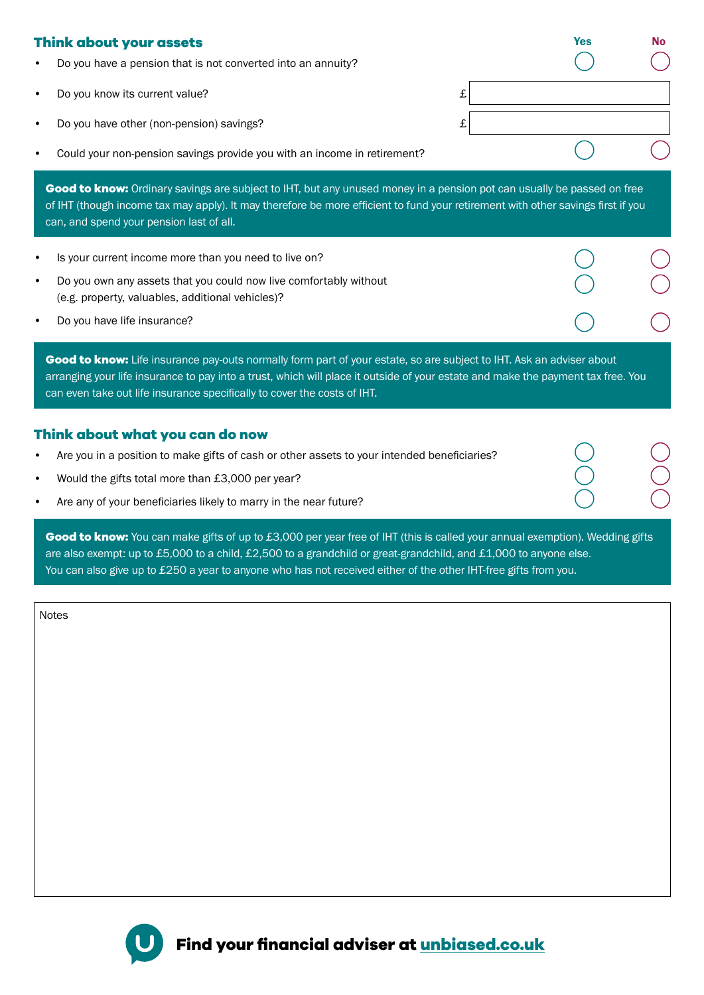### **Think about your assets**

- Do you have a pension that is not converted into an annuity?
- **Do you know its current value?** E
- Do you have other (non-pension) savings?  $\qquad \qquad \text{if}$
- Could your non-pension savings provide you with an income in retirement?

**Good to know:** Ordinary savings are subject to IHT, but any unused money in a pension pot can usually be passed on free of IHT (though income tax may apply). It may therefore be more efficient to fund your retirement with other savings first if you can, and spend your pension last of all.

Yes No

- Is your current income more than you need to live on?
- Do you own any assets that you could now live comfortably without (e.g. property, valuables, additional vehicles)?
- Do you have life insurance?

Good to know: Life insurance pay-outs normally form part of your estate, so are subject to IHT. Ask an adviser about arranging your life insurance to pay into a trust, which will place it outside of your estate and make the payment tax free. You can even take out life insurance specifically to cover the costs of IHT.

#### **Think about what you can do now**

- Are you in a position to make gifts of cash or other assets to your intended beneficiaries?
- Would the gifts total more than £3,000 per year?
- Are any of your beneficiaries likely to marry in the near future?

Good to know: You can make gifts of up to £3,000 per year free of IHT (this is called your annual exemption). Wedding gifts are also exempt: up to £5,000 to a child, £2,500 to a grandchild or great-grandchild, and £1,000 to anyone else. You can also give up to £250 a year to anyone who has not received either of the other IHT-free gifts from you.

Notes